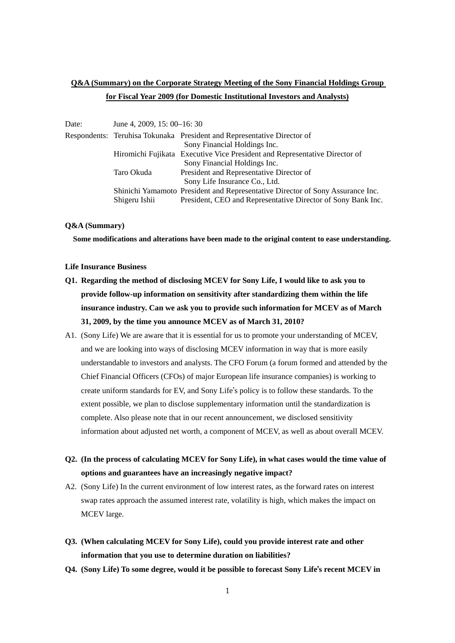### **Q&A (Summary) on the Corporate Strategy Meeting of the Sony Financial Holdings Group for Fiscal Year 2009 (for Domestic Institutional Investors and Analysts)**

| June 4, 2009, 15: 00–16: 30 |                                                                                |
|-----------------------------|--------------------------------------------------------------------------------|
|                             | Respondents: Teruhisa Tokunaka President and Representative Director of        |
|                             | Sony Financial Holdings Inc.                                                   |
|                             | Hiromichi Fujikata Executive Vice President and Representative Director of     |
|                             | Sony Financial Holdings Inc.                                                   |
| Taro Okuda                  | President and Representative Director of                                       |
|                             | Sony Life Insurance Co., Ltd.                                                  |
|                             | Shinichi Yamamoto President and Representative Director of Sony Assurance Inc. |
| Shigeru Ishii               | President, CEO and Representative Director of Sony Bank Inc.                   |
|                             |                                                                                |

### **Q&A (Summary)**

**Some modifications and alterations have been made to the original content to ease understanding.** 

#### **Life Insurance Business**

- **Q1. Regarding the method of disclosing MCEV for Sony Life, I would like to ask you to provide follow-up information on sensitivity after standardizing them within the life insurance industry. Can we ask you to provide such information for MCEV as of March 31, 2009, by the time you announce MCEV as of March 31, 2010?**
- A1. (Sony Life) We are aware that it is essential for us to promote your understanding of MCEV, and we are looking into ways of disclosing MCEV information in way that is more easily understandable to investors and analysts. The CFO Forum (a forum formed and attended by the Chief Financial Officers (CFOs) of major European life insurance companies) is working to create uniform standards for EV, and Sony Life's policy is to follow these standards. To the extent possible, we plan to disclose supplementary information until the standardization is complete. Also please note that in our recent announcement, we disclosed sensitivity information about adjusted net worth, a component of MCEV, as well as about overall MCEV.
- **Q2. (In the process of calculating MCEV for Sony Life), in what cases would the time value of options and guarantees have an increasingly negative impact?**
- A2. (Sony Life) In the current environment of low interest rates, as the forward rates on interest swap rates approach the assumed interest rate, volatility is high, which makes the impact on MCEV large.
- **Q3. (When calculating MCEV for Sony Life), could you provide interest rate and other information that you use to determine duration on liabilities?**
- **Q4. (Sony Life) To some degree, would it be possible to forecast Sony Life**'**s recent MCEV in**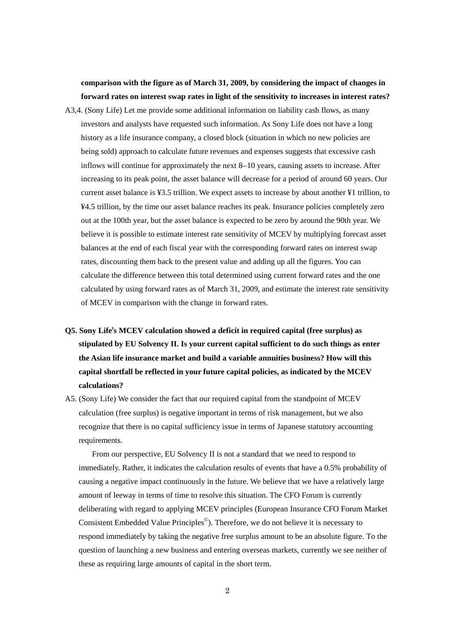**comparison with the figure as of March 31, 2009, by considering the impact of changes in forward rates on interest swap rates in light of the sensitivity to increases in interest rates?** 

- A3,4. (Sony Life) Let me provide some additional information on liability cash flows, as many investors and analysts have requested such information. As Sony Life does not have a long history as a life insurance company, a closed block (situation in which no new policies are being sold) approach to calculate future revenues and expenses suggests that excessive cash inflows will continue for approximately the next 8–10 years, causing assets to increase. After increasing to its peak point, the asset balance will decrease for a period of around 60 years. Our current asset balance is ¥3.5 trillion. We expect assets to increase by about another ¥1 trillion, to ¥4.5 trillion, by the time our asset balance reaches its peak. Insurance policies completely zero out at the 100th year, but the asset balance is expected to be zero by around the 90th year. We believe it is possible to estimate interest rate sensitivity of MCEV by multiplying forecast asset balances at the end of each fiscal year with the corresponding forward rates on interest swap rates, discounting them back to the present value and adding up all the figures. You can calculate the difference between this total determined using current forward rates and the one calculated by using forward rates as of March 31, 2009, and estimate the interest rate sensitivity of MCEV in comparison with the change in forward rates.
- **Q5. Sony Life**'**s MCEV calculation showed a deficit in required capital (free surplus) as stipulated by EU Solvency II. Is your current capital sufficient to do such things as enter the Asian life insurance market and build a variable annuities business? How will this capital shortfall be reflected in your future capital policies, as indicated by the MCEV calculations?**
- A5. (Sony Life) We consider the fact that our required capital from the standpoint of MCEV calculation (free surplus) is negative important in terms of risk management, but we also recognize that there is no capital sufficiency issue in terms of Japanese statutory accounting requirements.

 From our perspective, EU Solvency II is not a standard that we need to respond to immediately. Rather, it indicates the calculation results of events that have a 0.5% probability of causing a negative impact continuously in the future. We believe that we have a relatively large amount of leeway in terms of time to resolve this situation. The CFO Forum is currently deliberating with regard to applying MCEV principles (European Insurance CFO Forum Market Consistent Embedded Value Principles©). Therefore, we do not believe it is necessary to respond immediately by taking the negative free surplus amount to be an absolute figure. To the question of launching a new business and entering overseas markets, currently we see neither of these as requiring large amounts of capital in the short term.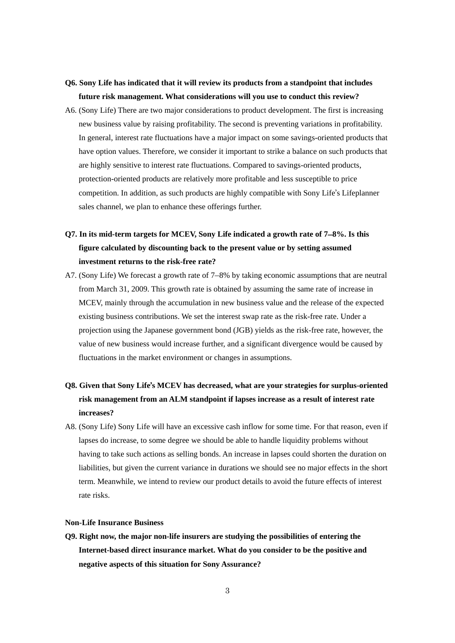### **Q6. Sony Life has indicated that it will review its products from a standpoint that includes future risk management. What considerations will you use to conduct this review?**

A6. (Sony Life) There are two major considerations to product development. The first is increasing new business value by raising profitability. The second is preventing variations in profitability. In general, interest rate fluctuations have a major impact on some savings-oriented products that have option values. Therefore, we consider it important to strike a balance on such products that are highly sensitive to interest rate fluctuations. Compared to savings-oriented products, protection-oriented products are relatively more profitable and less susceptible to price competition. In addition, as such products are highly compatible with Sony Life's Lifeplanner sales channel, we plan to enhance these offerings further.

# **Q7. In its mid-term targets for MCEV, Sony Life indicated a growth rate of 7**–**8%. Is this figure calculated by discounting back to the present value or by setting assumed investment returns to the risk-free rate?**

A7. (Sony Life) We forecast a growth rate of 7–8% by taking economic assumptions that are neutral from March 31, 2009. This growth rate is obtained by assuming the same rate of increase in MCEV, mainly through the accumulation in new business value and the release of the expected existing business contributions. We set the interest swap rate as the risk-free rate. Under a projection using the Japanese government bond (JGB) yields as the risk-free rate, however, the value of new business would increase further, and a significant divergence would be caused by fluctuations in the market environment or changes in assumptions.

## **Q8. Given that Sony Life**'**s MCEV has decreased, what are your strategies for surplus-oriented risk management from an ALM standpoint if lapses increase as a result of interest rate increases?**

A8. (Sony Life) Sony Life will have an excessive cash inflow for some time. For that reason, even if lapses do increase, to some degree we should be able to handle liquidity problems without having to take such actions as selling bonds. An increase in lapses could shorten the duration on liabilities, but given the current variance in durations we should see no major effects in the short term. Meanwhile, we intend to review our product details to avoid the future effects of interest rate risks.

### **Non-Life Insurance Business**

**Q9. Right now, the major non-life insurers are studying the possibilities of entering the Internet-based direct insurance market. What do you consider to be the positive and negative aspects of this situation for Sony Assurance?**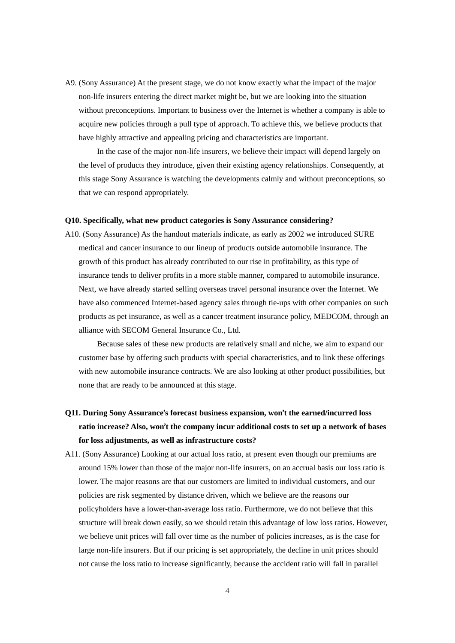A9. (Sony Assurance) At the present stage, we do not know exactly what the impact of the major non-life insurers entering the direct market might be, but we are looking into the situation without preconceptions. Important to business over the Internet is whether a company is able to acquire new policies through a pull type of approach. To achieve this, we believe products that have highly attractive and appealing pricing and characteristics are important.

 In the case of the major non-life insurers, we believe their impact will depend largely on the level of products they introduce, given their existing agency relationships. Consequently, at this stage Sony Assurance is watching the developments calmly and without preconceptions, so that we can respond appropriately.

#### **Q10. Specifically, what new product categories is Sony Assurance considering?**

A10. (Sony Assurance) As the handout materials indicate, as early as 2002 we introduced SURE medical and cancer insurance to our lineup of products outside automobile insurance. The growth of this product has already contributed to our rise in profitability, as this type of insurance tends to deliver profits in a more stable manner, compared to automobile insurance. Next, we have already started selling overseas travel personal insurance over the Internet. We have also commenced Internet-based agency sales through tie-ups with other companies on such products as pet insurance, as well as a cancer treatment insurance policy, MEDCOM, through an alliance with SECOM General Insurance Co., Ltd.

 Because sales of these new products are relatively small and niche, we aim to expand our customer base by offering such products with special characteristics, and to link these offerings with new automobile insurance contracts. We are also looking at other product possibilities, but none that are ready to be announced at this stage.

- **Q11. During Sony Assurance**'**s forecast business expansion, won**'**t the earned/incurred loss ratio increase? Also, won**'**t the company incur additional costs to set up a network of bases for loss adjustments, as well as infrastructure costs?**
- A11. (Sony Assurance) Looking at our actual loss ratio, at present even though our premiums are around 15% lower than those of the major non-life insurers, on an accrual basis our loss ratio is lower. The major reasons are that our customers are limited to individual customers, and our policies are risk segmented by distance driven, which we believe are the reasons our policyholders have a lower-than-average loss ratio. Furthermore, we do not believe that this structure will break down easily, so we should retain this advantage of low loss ratios. However, we believe unit prices will fall over time as the number of policies increases, as is the case for large non-life insurers. But if our pricing is set appropriately, the decline in unit prices should not cause the loss ratio to increase significantly, because the accident ratio will fall in parallel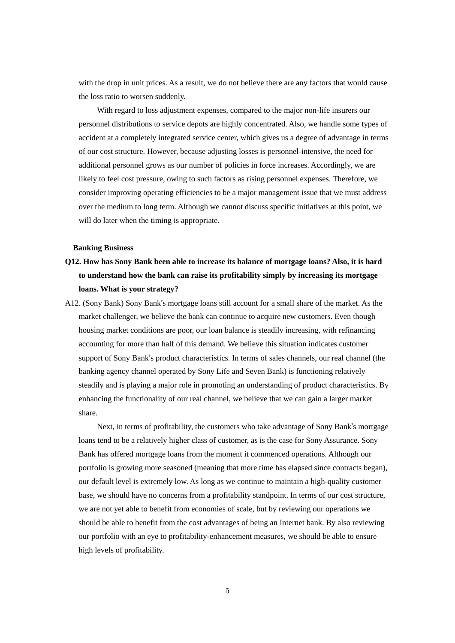with the drop in unit prices. As a result, we do not believe there are any factors that would cause the loss ratio to worsen suddenly.

 With regard to loss adjustment expenses, compared to the major non-life insurers our personnel distributions to service depots are highly concentrated. Also, we handle some types of accident at a completely integrated service center, which gives us a degree of advantage in terms of our cost structure. However, because adjusting losses is personnel-intensive, the need for additional personnel grows as our number of policies in force increases. Accordingly, we are likely to feel cost pressure, owing to such factors as rising personnel expenses. Therefore, we consider improving operating efficiencies to be a major management issue that we must address over the medium to long term. Although we cannot discuss specific initiatives at this point, we will do later when the timing is appropriate.

### **Banking Business**

- **Q12. How has Sony Bank been able to increase its balance of mortgage loans? Also, it is hard to understand how the bank can raise its profitability simply by increasing its mortgage loans. What is your strategy?**
- A12. (Sony Bank) Sony Bank's mortgage loans still account for a small share of the market. As the market challenger, we believe the bank can continue to acquire new customers. Even though housing market conditions are poor, our loan balance is steadily increasing, with refinancing accounting for more than half of this demand. We believe this situation indicates customer support of Sony Bank's product characteristics. In terms of sales channels, our real channel (the banking agency channel operated by Sony Life and Seven Bank) is functioning relatively steadily and is playing a major role in promoting an understanding of product characteristics. By enhancing the functionality of our real channel, we believe that we can gain a larger market share.

 Next, in terms of profitability, the customers who take advantage of Sony Bank's mortgage loans tend to be a relatively higher class of customer, as is the case for Sony Assurance. Sony Bank has offered mortgage loans from the moment it commenced operations. Although our portfolio is growing more seasoned (meaning that more time has elapsed since contracts began), our default level is extremely low. As long as we continue to maintain a high-quality customer base, we should have no concerns from a profitability standpoint. In terms of our cost structure, we are not yet able to benefit from economies of scale, but by reviewing our operations we should be able to benefit from the cost advantages of being an Internet bank. By also reviewing our portfolio with an eye to profitability-enhancement measures, we should be able to ensure high levels of profitability.